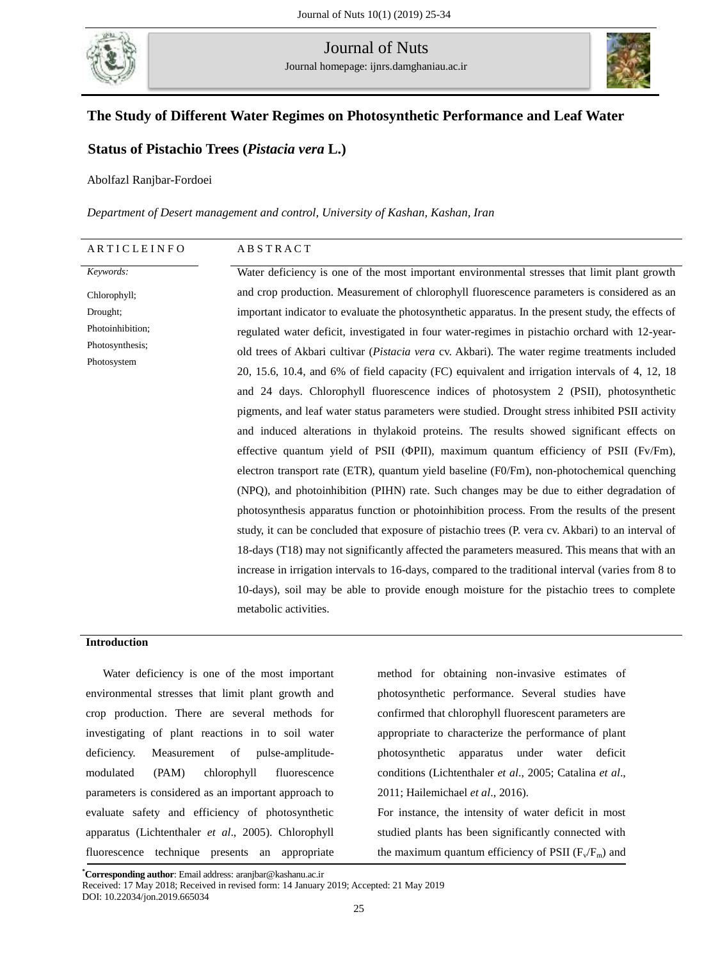

Journal of Nuts Journal homepage: ijnrs.damghaniau.ac.ir



## **The Study of Different Water Regimes on Photosynthetic Performance and Leaf Water**

## **[[Status of Pistachio Trees (***Pistacia vera* **L.)**

Abolfazl Ranjbar-Fordoei

*Department of Desert management and control, University of Kashan, Kashan, Iran*

| ARTICLEINFO      | <b>ABSTRACT</b>                                                                                       |
|------------------|-------------------------------------------------------------------------------------------------------|
| Keywords:        | Water deficiency is one of the most important environmental stresses that limit plant growth          |
| Chlorophyll;     | and crop production. Measurement of chlorophyll fluorescence parameters is considered as an           |
| Drought;         | important indicator to evaluate the photosynthetic apparatus. In the present study, the effects of    |
| Photoinhibition; | regulated water deficit, investigated in four water-regimes in pistachio orchard with 12-year-        |
| Photosynthesis;  | old trees of Akbari cultivar ( <i>Pistacia vera</i> cv. Akbari). The water regime treatments included |
| Photosystem      | 20, 15.6, 10.4, and 6% of field capacity (FC) equivalent and irrigation intervals of 4, 12, 18        |
|                  | and 24 days. Chlorophyll fluorescence indices of photosystem 2 (PSII), photosynthetic                 |
|                  | pigments, and leaf water status parameters were studied. Drought stress inhibited PSII activity       |
|                  | and induced alterations in thylakoid proteins. The results showed significant effects on              |
|                  | effective quantum yield of PSII ( $\Phi$ PII), maximum quantum efficiency of PSII ( $Fv$ /Fm),        |
|                  | electron transport rate (ETR), quantum yield baseline (F0/Fm), non-photochemical quenching            |
|                  | (NPQ), and photoinhibition (PIHN) rate. Such changes may be due to either degradation of              |
|                  | photosynthesis apparatus function or photoinhibition process. From the results of the present         |
|                  | study, it can be concluded that exposure of pistachio trees (P. vera cv. Akbari) to an interval of    |
|                  | 18-days (T18) may not significantly affected the parameters measured. This means that with an         |
|                  | increase in irrigation intervals to 16-days, compared to the traditional interval (varies from 8 to   |
|                  | 10-days), soil may be able to provide enough moisture for the pistachio trees to complete             |
|                  | metabolic activities.                                                                                 |
|                  |                                                                                                       |

## **Introduction**

Water deficiency is one of the most important environmental stresses that limit plant growth and crop production. There are several methods for investigating of plant reactions in to soil water deficiency. Measurement of pulse-amplitudemodulated (PAM) chlorophyll fluorescence parameters is considered as an important approach to evaluate safety and efficiency of photosynthetic apparatus (Lichtenthaler *et al*., 2005). Chlorophyll fluorescence technique presents an appropriate

method for obtaining non-invasive estimates of photosynthetic performance. Several studies have confirmed that chlorophyll fluorescent parameters are appropriate to characterize the performance of plant photosynthetic apparatus under water deficit conditions (Lichtenthaler *et al*., 2005; Catalina *et al*., 2011; Hailemichael *et al*., 2016).

For instance, the intensity of water deficit in most studied plants has been significantly connected with the maximum quantum efficiency of PSII  $(F_v/F_m)$  and

9 Received: 17 May 2018; Received in revised form: 14 January 2019; Accepted: 21 May 2019 **\*Corresponding author**: Email address: aranjbar@kashanu.ac.ir DOI: 10.22034/jon.2019.665034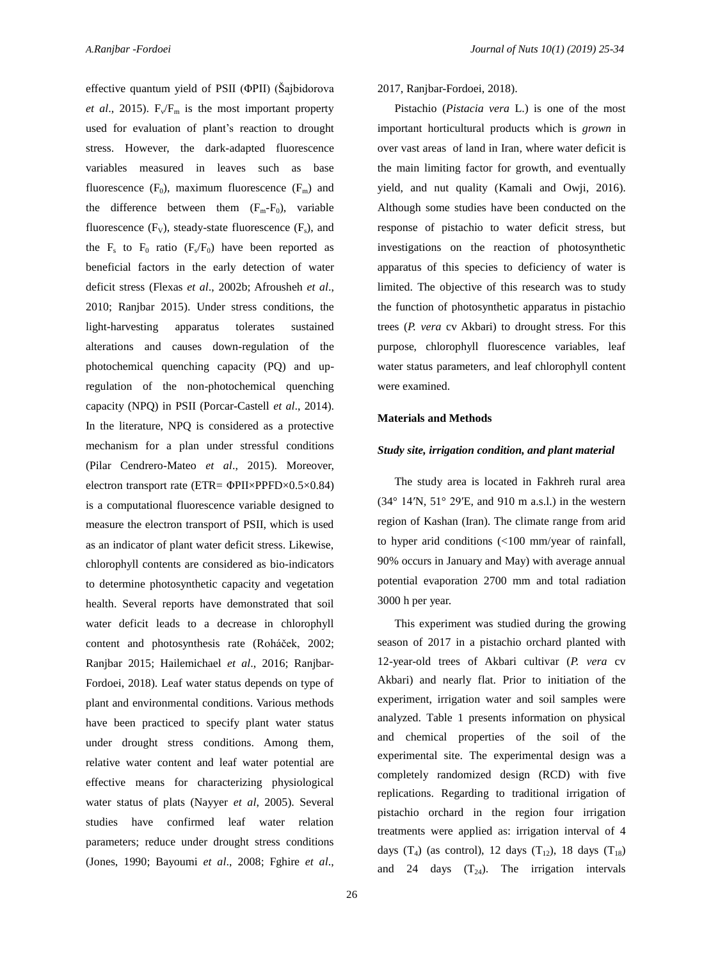effective quantum yield of PSII (ΦPII) (Šajbidorova *et al.*, 2015).  $F_v/F_m$  is the most important property used for evaluation of plant's reaction to drought stress. However, the dark-adapted fluorescence variables measured in leaves such as base fluorescence  $(F_0)$ , maximum fluorescence  $(F_m)$  and the difference between them  $(F_m-F_0)$ , variable fluorescence  $(F_v)$ , steady-state fluorescence  $(F_s)$ , and the  $F_s$  to  $F_0$  ratio ( $F_s/F_0$ ) have been reported as beneficial factors in the early detection of water deficit stress (Flexas *et al*., 2002b; Afrousheh *et al*., 2010; Ranjbar 2015). Under stress conditions, the light-harvesting apparatus tolerates sustained alterations and causes down-regulation of the photochemical quenching capacity (PQ) and upregulation of the non-photochemical quenching capacity (NPQ) in PSII (Porcar-Castell *et al*., 2014). In the literature, NPQ is considered as a protective mechanism for a plan under stressful conditions (Pilar Cendrero-Mateo *et al*., 2015). Moreover, electron transport rate (ETR= ΦPII×PPFD×0.5×0.84) is a computational fluorescence variable designed to measure the electron transport of PSII, which is used as an indicator of plant water deficit stress. Likewise, chlorophyll contents are considered as bio-indicators to determine photosynthetic capacity and vegetation health. Several reports have demonstrated that soil water deficit leads to a decrease in chlorophyll content and photosynthesis rate (Roháček, 2002; Ranjbar 2015; Hailemichael *et al*., 2016; Ranjbar-Fordoei, 2018). Leaf water status depends on type of plant and environmental conditions. Various methods have been practiced to specify plant water status under drought stress conditions. Among them, relative water content and leaf water potential are effective means for characterizing physiological water status of plats (Nayyer *et al*, 2005). Several studies have confirmed leaf water relation parameters; reduce under drought stress conditions (Jones, 1990; Bayoumi *et al*., 2008; Fghire *et al*., 2017, Ranjbar-Fordoei, 2018).

Pistachio (*Pistacia vera* L.) is one of the most important horticultural products which is *grown* in over vast areas of land in Iran*,* where water deficit is the main limiting factor for growth, and eventually yield, and nut quality (Kamali and Owji, 2016). Although some studies have been conducted on the response of pistachio to water deficit stress, but investigations on the reaction of photosynthetic apparatus of this species to deficiency of water is limited. The objective of this research was to study the function of photosynthetic apparatus in pistachio trees (*P. vera* cv Akbari) to drought stress. For this purpose, chlorophyll fluorescence variables, leaf water status parameters, and leaf chlorophyll content were examined.

#### **Materials and Methods**

#### *Study site, irrigation condition, and plant material*

The study area is located in Fakhreh rural area  $(34^{\circ}$  14′N, 51° 29′E, and 910 m a.s.l.) in the western region of Kashan (Iran). The climate range from arid to hyper arid conditions (<100 mm/year of rainfall, 90% occurs in January and May) with average annual potential evaporation 2700 mm and total radiation 3000 h per year.

This experiment was studied during the growing season of 2017 in a pistachio orchard planted with 12-year-old trees of Akbari cultivar (*P. vera* cv Akbari) and nearly flat. Prior to initiation of the experiment, irrigation water and soil samples were analyzed. Table 1 presents information on physical and chemical properties of the soil of the experimental site. The experimental design was a completely randomized design (RCD) with five replications. Regarding to traditional irrigation of pistachio orchard in the region four irrigation treatments were applied as: irrigation interval of 4 days (T<sub>4</sub>) (as control), 12 days (T<sub>12</sub>), 18 days (T<sub>18</sub>) and 24 days  $(T_{24})$ . The irrigation intervals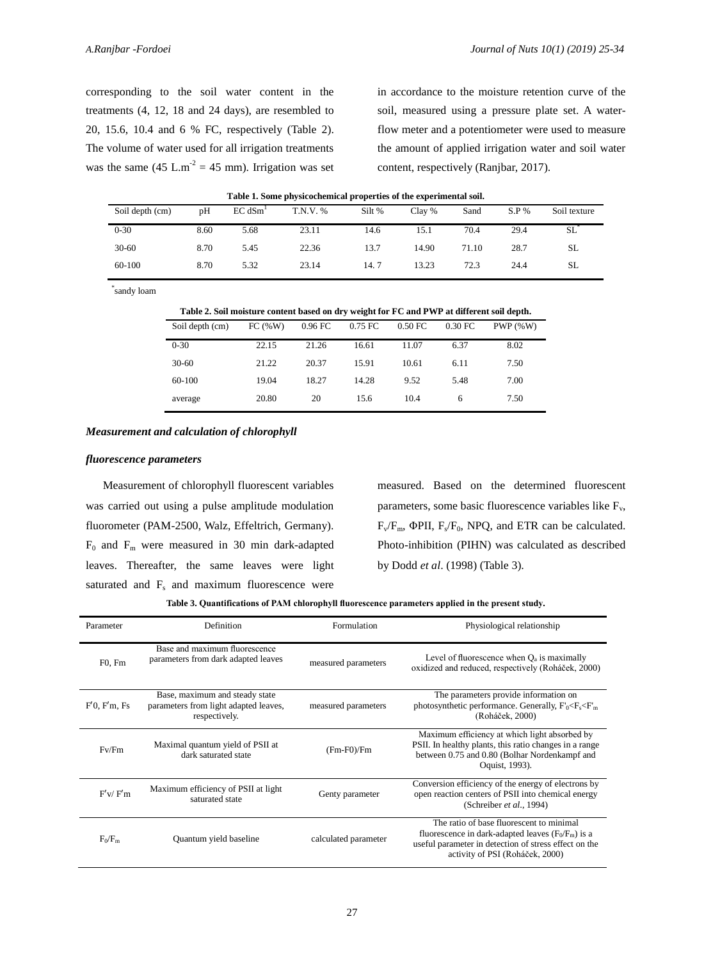corresponding to the soil water content in the treatments (4, 12, 18 and 24 days), are resembled to 20, 15.6, 10.4 and 6 % FC, respectively (Table 2). The volume of water used for all irrigation treatments was the same  $(45 \text{ L.m}^2 = 45 \text{ mm})$ . Irrigation was set in accordance to the moisture retention curve of the soil, measured using a pressure plate set. A waterflow meter and a potentiometer were used to measure the amount of applied irrigation water and soil water content, respectively (Ranjbar, 2017).

| Table 1. Some physicochemical properties of the experimental soil. |      |                     |          |        |        |       |        |              |
|--------------------------------------------------------------------|------|---------------------|----------|--------|--------|-------|--------|--------------|
| Soil depth (cm)                                                    | pH   | EC dSm <sup>1</sup> | T.N.V. % | Silt % | Clay % | Sand  | S.P. % | Soil texture |
| $0 - 30$                                                           | 8.60 | 5.68                | 23.11    | 14.6   | 15.1   | 70.4  | 29.4   | <b>SL</b>    |
| $30-60$                                                            | 8.70 | 5.45                | 22.36    | 13.7   | 14.90  | 71.10 | 28.7   | SL.          |
| 60-100                                                             | 8.70 | 5.32                | 23.14    | 14.7   | 13.23  | 72.3  | 24.4   | <b>SL</b>    |

\* sandy loam

| Table 2. Soil moisture content based on dry weight for FC and PWP at different soil depth. |
|--------------------------------------------------------------------------------------------|
|--------------------------------------------------------------------------------------------|

| Soil depth (cm) | FC (W) | 0.96 FC | 0.75 FC | 0.50 FC | 0.30 FC | $PWP($ %W) |  |
|-----------------|--------|---------|---------|---------|---------|------------|--|
| $0 - 30$        | 22.15  | 21.26   | 16.61   | 11.07   | 6.37    | 8.02       |  |
| $30-60$         | 21.22  | 20.37   | 15.91   | 10.61   | 6.11    | 7.50       |  |
| 60-100          | 19.04  | 18.27   | 14.28   | 9.52    | 5.48    | 7.00       |  |
| average         | 20.80  | 20      | 15.6    | 10.4    | 6       | 7.50       |  |

#### *Measurement and calculation of chlorophyll*

#### *fluorescence parameters*

Measurement of chlorophyll fluorescent variables was carried out using a pulse amplitude modulation fluorometer (PAM-2500, Walz, Effeltrich, Germany).  $F_0$  and  $F_m$  were measured in 30 min dark-adapted leaves. Thereafter, the same leaves were light saturated and  $F_s$  and maximum fluorescence were

measured. Based on the determined fluorescent parameters, some basic fluorescence variables like  $F_v$ ,  $F_v/F_m$ , ΦPII,  $F_s/F_0$ , NPQ, and ETR can be calculated. Photo-inhibition (PIHN) was calculated as described by Dodd *et al*. (1998) (Table 3).

|  |  | Table 3. Quantifications of PAM chlorophyll fluorescence parameters applied in the present study. |  |
|--|--|---------------------------------------------------------------------------------------------------|--|
|  |  |                                                                                                   |  |

| Parameter            | Definition                                                                               | Formulation          | Physiological relationship                                                                                                                                                                   |
|----------------------|------------------------------------------------------------------------------------------|----------------------|----------------------------------------------------------------------------------------------------------------------------------------------------------------------------------------------|
| $F0$ , $Fm$          | Base and maximum fluorescence<br>parameters from dark adapted leaves                     | measured parameters  | Level of fluorescence when $Q_a$ is maximally<br>oxidized and reduced, respectively (Roháček, 2000)                                                                                          |
| $F'0$ , $F'm$ , $Fs$ | Base, maximum and steady state<br>parameters from light adapted leaves,<br>respectively. | measured parameters  | The parameters provide information on<br>photosynthetic performance. Generally, $F_0 < F_s < F_m$<br>(Roháček, 2000)                                                                         |
| Fv/Fm                | Maximal quantum yield of PSII at<br>dark saturated state                                 | $(Fm-F0)/Fm$         | Maximum efficiency at which light absorbed by<br>PSII. In healthy plants, this ratio changes in a range<br>between 0.75 and 0.80 (Bolhar Nordenkampf and<br>Oquist, 1993).                   |
| F'v/F'm              | Maximum efficiency of PSII at light<br>saturated state                                   | Genty parameter      | Conversion efficiency of the energy of electrons by<br>open reaction centers of PSII into chemical energy<br>(Schreiber et al., 1994)                                                        |
| $F_0/F_m$            | Quantum yield baseline                                                                   | calculated parameter | The ratio of base fluorescent to minimal<br>fluorescence in dark-adapted leaves $(F_0/F_m)$ is a<br>useful parameter in detection of stress effect on the<br>activity of PSI (Roháček, 2000) |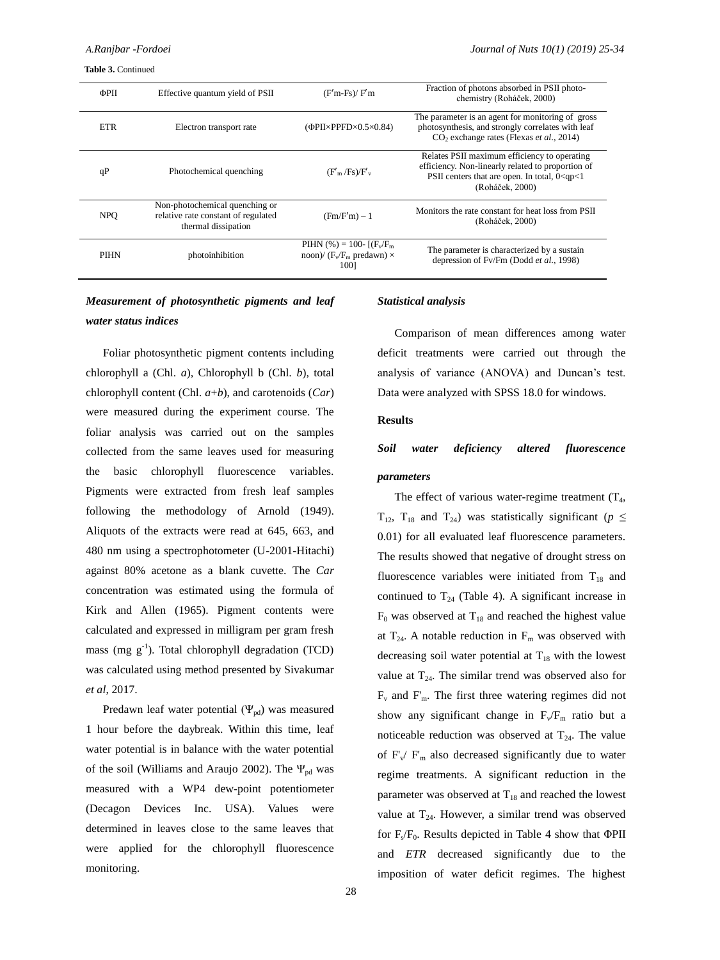**Table 3.** Continued

| ФРП         | Effective quantum yield of PSII                                                              | $(F'm-Fs)/F'm$                                                                                                           | Fraction of photons absorbed in PSII photo-<br>chemistry (Roháček, 2000)                                                                                                   |
|-------------|----------------------------------------------------------------------------------------------|--------------------------------------------------------------------------------------------------------------------------|----------------------------------------------------------------------------------------------------------------------------------------------------------------------------|
| <b>ETR</b>  | Electron transport rate                                                                      | $(\Phi$ PII×PPFD×0.5×0.84)                                                                                               | The parameter is an agent for monitoring of gross<br>photosynthesis, and strongly correlates with leaf<br>$CO2$ exchange rates (Flexas <i>et al.</i> , 2014)               |
| qP          | Photochemical quenching                                                                      | $(F'_m$ /Fs)/F' <sub>v</sub>                                                                                             | Relates PSII maximum efficiency to operating<br>efficiency. Non-linearly related to proportion of<br>PSII centers that are open. In total, $0 < qp < 1$<br>(Roháček, 2000) |
| <b>NPO</b>  | Non-photochemical quenching or<br>relative rate constant of regulated<br>thermal dissipation | $(Fm/F'm) - 1$                                                                                                           | Monitors the rate constant for heat loss from PSII<br>(Roháček, 2000)                                                                                                      |
| <b>PIHN</b> | photoinhibition                                                                              | PIHN $\left(\% \right) = 100$ - $\left[\left(F_v/F_m\right)\right]$<br>noon)/ $(F_v/F_m \text{ predawn}) \times$<br>1001 | The parameter is characterized by a sustain<br>depression of Fv/Fm (Dodd et al., 1998)                                                                                     |

# *Measurement of photosynthetic pigments and leaf water status indices*

Foliar photosynthetic pigment contents including chlorophyll a (Chl. *a*), Chlorophyll b (Chl. *b*), total chlorophyll content (Chl. *a*+*b*), and carotenoids (*Car*) were measured during the experiment course. The foliar analysis was carried out on the samples collected from the same leaves used for measuring the basic chlorophyll fluorescence variables. Pigments were extracted from fresh leaf samples following the methodology of Arnold (1949). Aliquots of the extracts were read at 645, 663, and 480 nm using a spectrophotometer (U-2001-Hitachi) against 80% acetone as a blank cuvette. The *Car* concentration was estimated using the formula of Kirk and Allen (1965). Pigment contents were calculated and expressed in milligram per gram fresh mass (mg  $g^{-1}$ ). Total chlorophyll degradation (TCD) was calculated using method presented by Sivakumar *et al*, 2017.

Predawn leaf water potential  $(\Psi_{pd})$  was measured 1 hour before the daybreak. Within this time, leaf water potential is in balance with the water potential of the soil (Williams and Araujo 2002). The  $\Psi_{pd}$  was measured with a WP4 dew-point potentiometer (Decagon Devices Inc. USA). Values were determined in leaves close to the same leaves that were applied for the chlorophyll fluorescence monitoring.

#### *Statistical analysis*

Comparison of mean differences among water deficit treatments were carried out through the analysis of variance (ANOVA) and Duncan's test. Data were analyzed with SPSS 18.0 for windows.

#### **Results**

# *Soil water deficiency altered fluorescence parameters*

The effect of various water-regime treatment  $(T_4,$ T<sub>12</sub>, T<sub>18</sub> and T<sub>24</sub>) was statistically significant ( $p \leq$ 0.01) for all evaluated leaf fluorescence parameters. The results showed that negative of drought stress on fluorescence variables were initiated from  $T_{18}$  and continued to  $T_{24}$  (Table 4). A significant increase in  $F_0$  was observed at  $T_{18}$  and reached the highest value at  $T_{24}$ . A notable reduction in  $F_m$  was observed with decreasing soil water potential at  $T_{18}$  with the lowest value at  $T_{24}$ . The similar trend was observed also for  $F_v$  and  $F_m$ . The first three watering regimes did not show any significant change in  $F_v/F_m$  ratio but a noticeable reduction was observed at  $T_{24}$ . The value of  $F_v/F_m$  also decreased significantly due to water regime treatments. A significant reduction in the parameter was observed at  $T_{18}$  and reached the lowest value at  $T_{24}$ . However, a similar trend was observed for  $F_s/F_0$ . Results depicted in Table 4 show that  $\Phi$ PII and *ETR* decreased significantly due to the imposition of water deficit regimes. The highest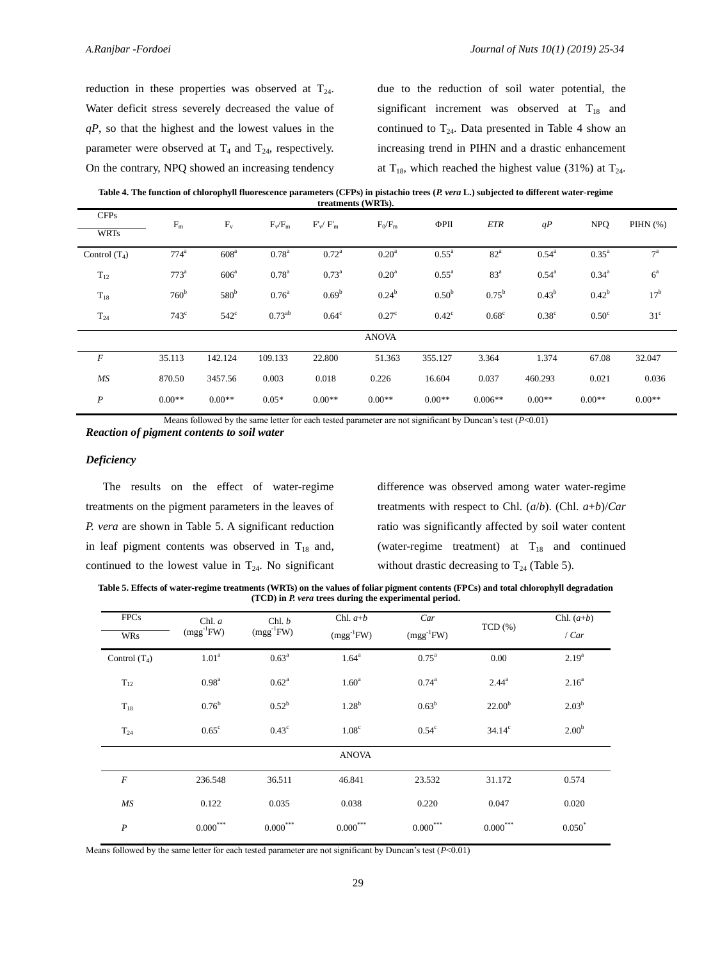reduction in these properties was observed at  $T_{24}$ . Water deficit stress severely decreased the value of *qP*, so that the highest and the lowest values in the parameter were observed at  $T_4$  and  $T_{24}$ , respectively. On the contrary, NPQ showed an increasing tendency due to the reduction of soil water potential, the significant increment was observed at  $T_{18}$  and continued to  $T_{24}$ . Data presented in Table 4 show an increasing trend in PIHN and a drastic enhancement at  $T_{18}$ , which reached the highest value (31%) at  $T_{24}$ .

**Table 4. The function of chlorophyll fluorescence parameters (CFPs) in pistachio trees (***P. vera* **L.) subjected to different water-regime treatments (WRTs).**

| <b>CFPs</b><br><b>WRTs</b> | $F_m$            | $F_v$            | $F_v/F_m$         | $F'$ <sub>w</sub> / $F'$ <sub>m</sub> | $F_0/F_m$         | ФРП                 | <b>ETR</b>        | qP                | <b>NPQ</b>        | PIHN $(\%)$      |
|----------------------------|------------------|------------------|-------------------|---------------------------------------|-------------------|---------------------|-------------------|-------------------|-------------------|------------------|
| Control $(T_4)$            | 774 <sup>a</sup> | 608 <sup>a</sup> | $0.78^{a}$        | $0.72^{\rm a}$                        | 0.20 <sup>a</sup> | $0.55^{\mathrm{a}}$ | $82^{\mathrm{a}}$ | $0.54^{\rm a}$    | $0.35^{\rm a}$    | $7^{\mathrm{a}}$ |
| $T_{12}$                   | $773^a$          | $606^a$          | $0.78^{a}$        | $0.73^{\rm a}$                        | 0.20 <sup>a</sup> | $0.55^{\mathrm{a}}$ | 83 <sup>a</sup>   | $0.54^{\rm a}$    | $0.34^{a}$        | $6^{\mathrm{a}}$ |
| $T_{18}$                   | 760 <sup>b</sup> | 580 <sup>b</sup> | 0.76 <sup>a</sup> | $0.69^{\rm b}$                        | $0.24^{b}$        | 0.50 <sup>b</sup>   | $0.75^{\rm b}$    | $0.43^{b}$        | $0.42^{\rm b}$    | 17 <sup>b</sup>  |
| $T_{24}$                   | $743^{\circ}$    | $542^{\circ}$    | $0.73^{ab}$       | $0.64^c$                              | $0.27^{\circ}$    | $0.42^{\circ}$      | $0.68^{\circ}$    | 0.38 <sup>c</sup> | 0.50 <sup>c</sup> | 31 <sup>c</sup>  |
|                            |                  |                  |                   |                                       | <b>ANOVA</b>      |                     |                   |                   |                   |                  |
| $\cal F$                   | 35.113           | 142.124          | 109.133           | 22.800                                | 51.363            | 355.127             | 3.364             | 1.374             | 67.08             | 32.047           |
| MS                         | 870.50           | 3457.56          | 0.003             | 0.018                                 | 0.226             | 16.604              | 0.037             | 460.293           | 0.021             | 0.036            |
| $\boldsymbol{P}$           | $0.00**$         | $0.00**$         | $0.05*$           | $0.00**$                              | $0.00**$          | $0.00**$            | $0.006**$         | $0.00**$          | $0.00**$          | $0.00**$         |

Means followed by the same letter for each tested parameter are not significant by Duncan's test (*P*<0.01)

*Reaction of pigment contents to soil water* 

#### *Deficiency*

The results on the effect of water-regime treatments on the pigment parameters in the leaves of *P. vera* are shown in Table 5. A significant reduction in leaf pigment contents was observed in  $T_{18}$  and, continued to the lowest value in  $T_{24}$ . No significant

difference was observed among water water-regime treatments with respect to Chl. (*a*/*b*). (Chl. *a*+*b*)/*Car* ratio was significantly affected by soil water content (water-regime treatment) at  $T_{18}$  and continued without drastic decreasing to  $T_{24}$  (Table 5).

**Table 5. Effects of water-regime treatments (WRTs) on the values of foliar pigment contents (FPCs) and total chlorophyll degradation (TCD) in** *P. vera* **trees during the experimental period.**

| <b>FPCs</b>      | Chl. a            | Chl. b<br>$(mgg^{-1}FW)$ | Chl. $a+b$        | Car            | TCD(%)             | Chl. $(a+b)$      |
|------------------|-------------------|--------------------------|-------------------|----------------|--------------------|-------------------|
| <b>WRs</b>       | $(mgg^{-1}FW)$    |                          | $(mgg^{-1}FW)$    | $(mgg^{-1}FW)$ |                    | /Car              |
| Control $(T_4)$  | 1.01 <sup>a</sup> | $0.63^{\rm a}$           | $1.64^a$          | $0.75^{\rm a}$ | 0.00               | $2.19^{a}$        |
| $T_{12}$         | 0.98 <sup>a</sup> | $0.62^a$                 | 1.60 <sup>a</sup> | $0.74^{\rm a}$ | $2.44^{a}$         | $2.16^{a}$        |
| $T_{18}$         | $0.76^{\rm b}$    | $0.52^b$                 | 1.28 <sup>b</sup> | $0.63^b$       | 22.00 <sup>b</sup> | $2.03^b$          |
| $T_{24}$         | $0.65^{\circ}$    | $0.43^{\circ}$           | 1.08 <sup>c</sup> | $0.54^{\circ}$ | $34.14^c$          | 2.00 <sup>b</sup> |
|                  |                   |                          | <b>ANOVA</b>      |                |                    |                   |
| $\cal F$         | 236.548           | 36.511                   | 46.841            | 23.532         | 31.172             | 0.574             |
| MS               | 0.122             | 0.035                    | 0.038             | 0.220          | 0.047              | 0.020             |
| $\boldsymbol{P}$ | $0.000^{***}$     | $0.000^{***}$            | $0.000***$        | $0.000^{***}$  | $0.000***$         | $0.050*$          |

Means followed by the same letter for each tested parameter are not significant by Duncan's test (*P*<0.01)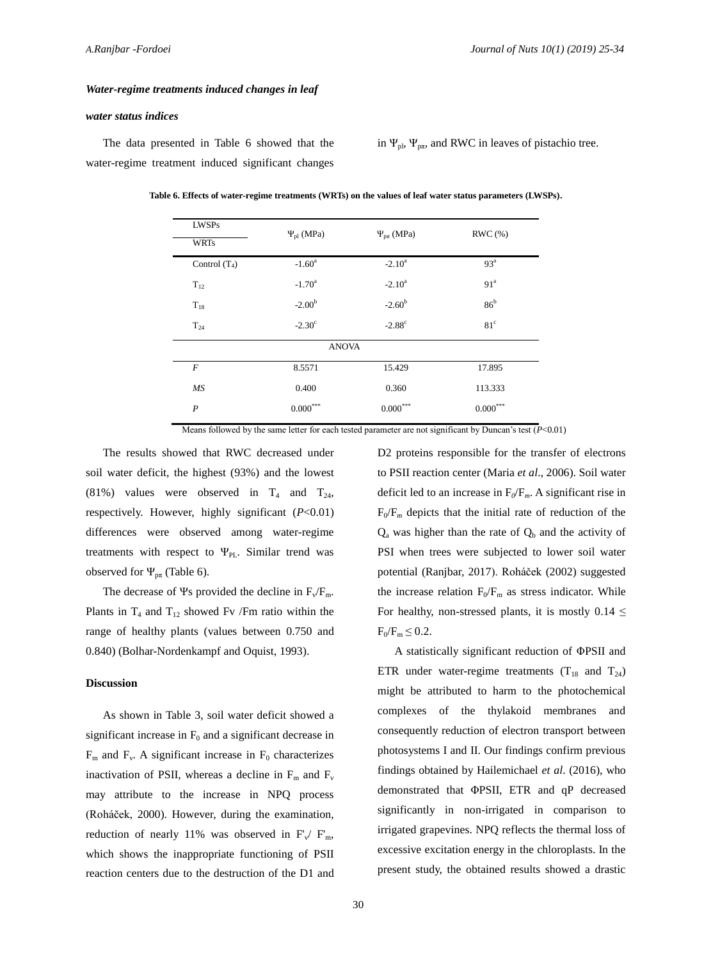#### *Water-regime treatments induced changes in leaf*

#### *water status indices*

The data presented in Table 6 showed that the water-regime treatment induced significant changes in  $\Psi_{\text{pl}}$ ,  $\Psi_{\text{p}\pi}$ , and RWC in leaves of pistachio tree.

| <b>LWSPs</b><br><b>WRTs</b> | $\Psi_{\text{pl}}$ (MPa) | $\Psi_{p\pi}$ (MPa) | RWC(%)          |
|-----------------------------|--------------------------|---------------------|-----------------|
| Control $(T_4)$             | $-1.60^{\circ}$          | $-2.10^a$           | 93 <sup>a</sup> |
| $T_{12}$                    | $-1.70^{\rm a}$          | $-2.10^a$           | 91 <sup>a</sup> |
| $T_{18}$                    | $-2.00b$                 | $-2.60^{\rm b}$     | 86 <sup>b</sup> |
| $T_{24}$                    | $-2.30^{\circ}$          | $-2.88^{\circ}$     | 81 <sup>c</sup> |
|                             | <b>ANOVA</b>             |                     |                 |
| $\boldsymbol{F}$            | 8.5571                   | 15.429              | 17.895          |
| MS                          | 0.400                    | 0.360               | 113.333         |
| $\boldsymbol{P}$            | $0.000^{***}$            | $0.000^{***}$       | $0.000^{***}$   |

**Table 6. Effects of water-regime treatments (WRTs) on the values of leaf water status parameters (LWSPs).**

Means followed by the same letter for each tested parameter are not significant by Duncan's test  $(P<0.01)$ 

The results showed that RWC decreased under soil water deficit, the highest (93%) and the lowest (81%) values were observed in  $T_4$  and  $T_{24}$ , respectively. However, highly significant (*P*<0.01) differences were observed among water-regime treatments with respect to  $\Psi_{PL}$ . Similar trend was observed for  $\Psi_{p\pi}$  (Table 6).

The decrease of Ψs provided the decline in  $F_v/F_m$ . Plants in  $T_4$  and  $T_{12}$  showed Fv /Fm ratio within the range of healthy plants (values between 0.750 and 0.840) (Bolhar-Nordenkampf and Oquist, 1993).

#### **Discussion**

As shown in Table 3, soil water deficit showed a significant increase in  $F_0$  and a significant decrease in  $F_m$  and  $F_v$ . A significant increase in  $F_0$  characterizes inactivation of PSII, whereas a decline in  $F_m$  and  $F_v$ may attribute to the increase in NPQ process (Roháček, 2000). However, during the examination, reduction of nearly 11% was observed in  $F_v/F_m$ , which shows the inappropriate functioning of PSII reaction centers due to the destruction of the D1 and

D2 proteins responsible for the transfer of electrons to PSII reaction center (Maria *et al*., 2006). Soil water deficit led to an increase in  $F_0/F_m$ . A significant rise in  $F_0/F_m$  depicts that the initial rate of reduction of the  $Q<sub>a</sub>$  was higher than the rate of  $Q<sub>b</sub>$  and the activity of PSI when trees were subjected to lower soil water potential (Ranjbar, 2017). Roháček (2002) suggested the increase relation  $F_0/F_m$  as stress indicator. While For healthy, non-stressed plants, it is mostly  $0.14 \le$  $F_0/F_m \leq 0.2$ .

A statistically significant reduction of ΦPSII and ETR under water-regime treatments  $(T_{18}$  and  $T_{24})$ might be attributed to harm to the photochemical complexes of the thylakoid membranes and consequently reduction of electron transport between photosystems I and II. Our findings confirm previous findings obtained by Hailemichael *et al*. (2016), who demonstrated that ΦPSII, ETR and qP decreased significantly in non-irrigated in comparison to irrigated grapevines. NPQ reflects the thermal loss of excessive excitation energy in the chloroplasts. In the present study, the obtained results showed a drastic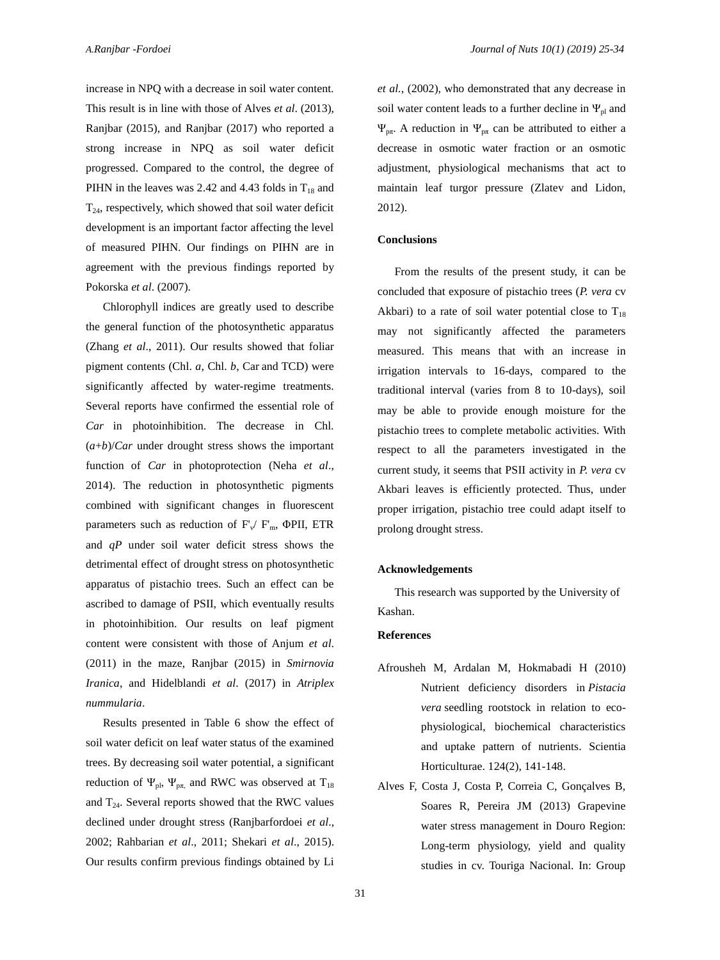increase in NPQ with a decrease in soil water content. This result is in line with those of Alves *et al*. (2013), Ranjbar (2015), and Ranjbar (2017) who reported a strong increase in NPQ as soil water deficit progressed. Compared to the control, the degree of PIHN in the leaves was 2.42 and 4.43 folds in  $T_{18}$  and  $T<sub>24</sub>$ , respectively, which showed that soil water deficit development is an important factor affecting the level of measured PIHN. Our findings on PIHN are in agreement with the previous findings reported by Pokorska *et al*. (2007).

Chlorophyll indices are greatly used to describe the general function of the photosynthetic apparatus (Zhang *et al*., 2011). Our results showed that foliar pigment contents (Chl. *a*, Chl. *b*, Car and TCD) were significantly affected by water-regime treatments. Several reports have confirmed the essential role of *Car* in photoinhibition. The decrease in Chl.  $(a+b)/Car$  under drought stress shows the important function of *Car* in photoprotection (Neha *et al*., 2014). The reduction in photosynthetic pigments combined with significant changes in fluorescent parameters such as reduction of  $F'_{\nu}$   $F'_{\rm m}$ ,  $\Phi$ PII, ETR and *qP* under soil water deficit stress shows the detrimental effect of drought stress on photosynthetic apparatus of pistachio trees. Such an effect can be ascribed to damage of PSII, which eventually results in photoinhibition. Our results on leaf pigment content were consistent with those of Anjum *et al*. (2011) in the maze, Ranjbar (2015) in *Smirnovia Iranica*, and Hidelblandi *et al*. (2017) in *Atriplex nummularia*.

Results presented in Table 6 show the effect of soil water deficit on leaf water status of the examined trees. By decreasing soil water potential, a significant reduction of  $\Psi_{\text{pl}}$ ,  $\Psi_{\text{p}\pi}$ , and RWC was observed at  $T_{18}$ and  $T_{24}$ . Several reports showed that the RWC values declined under drought stress (Ranjbarfordoei *et al*., 2002; Rahbarian *et al*., 2011; Shekari *et al*., 2015). Our results confirm previous findings obtained by Li

*et al.*, (2002), who demonstrated that any decrease in soil water content leads to a further decline in  $\Psi_{\text{pl}}$  and  $\Psi_{\text{pr}}$ . A reduction in  $\Psi_{\text{pr}}$  can be attributed to either a decrease in osmotic water fraction or an osmotic adjustment, physiological mechanisms that act to maintain leaf turgor pressure (Zlatev and Lidon, 2012).

#### **Conclusions**

From the results of the present study, it can be concluded that exposure of pistachio trees (*P. vera* cv Akbari) to a rate of soil water potential close to  $T_{18}$ may not significantly affected the parameters measured. This means that with an increase in irrigation intervals to 16-days, compared to the traditional interval (varies from 8 to 10-days), soil may be able to provide enough moisture for the pistachio trees to complete metabolic activities. With respect to all the parameters investigated in the current study, it seems that PSII activity in *P. vera* cv Akbari leaves is efficiently protected. Thus, under proper irrigation, pistachio tree could adapt itself to prolong drought stress.

#### **Acknowledgements**

This research was supported by the University of Kashan.

### **References**

- Afrousheh M, Ardalan M, Hokmabadi H (2010) [Nutrient deficiency disorders in](javascript:void(0)) *Pistacia vera* [seedling rootstock in relation to eco](javascript:void(0))[physiological, biochemical characteristics](javascript:void(0))  [and uptake pattern of nutrients.](javascript:void(0)) Scientia Horticulturae. 124(2), 141-148.
- Alves F, Costa J, Costa P, Correia C, Gonçalves B, Soares R, Pereira JM (2013) Grapevine water stress management in Douro Region: Long-term physiology, yield and quality studies in cv. Touriga Nacional. In: Group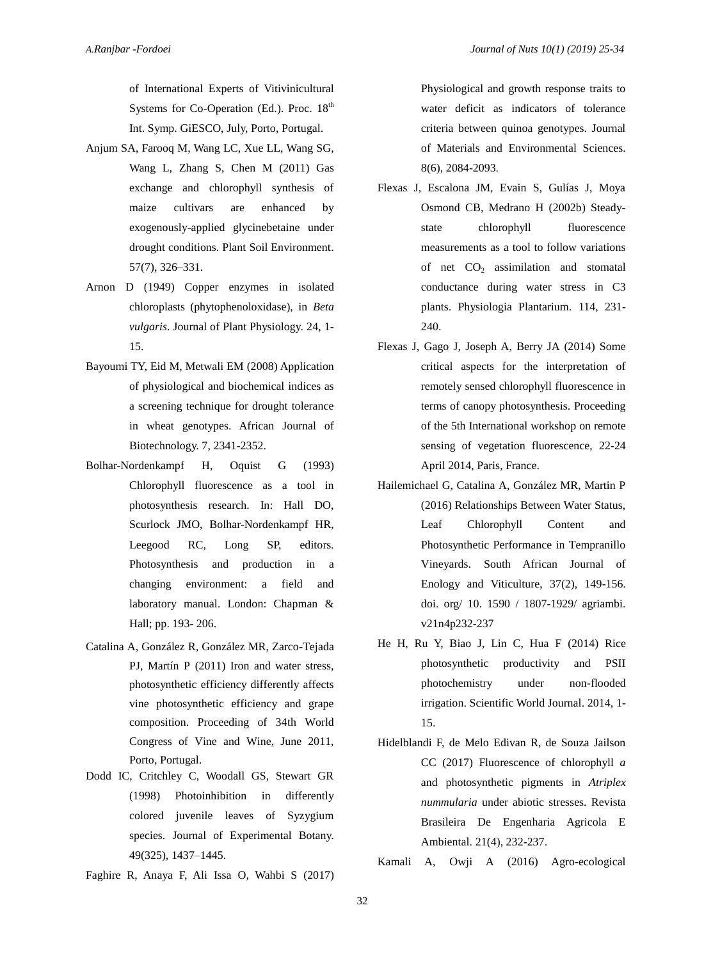of International Experts of Vitivinicultural Systems for Co-Operation (Ed.). Proc.  $18<sup>th</sup>$ Int. Symp. GiESCO, July, Porto, Portugal.

- Anjum SA, Farooq M, Wang LC, Xue LL, Wang SG, Wang L, Zhang S, Chen M (2011) Gas exchange and chlorophyll synthesis of maize cultivars are enhanced by exogenously-applied glycinebetaine under drought conditions. Plant Soil Environment. 57(7), 326–331.
- Arnon D (1949) Copper enzymes in isolated chloroplasts (phytophenoloxidase), in *Beta vulgaris*. Journal of Plant Physiology. 24, 1- 15.
- Bayoumi TY, Eid M, Metwali EM (2008) Application of physiological and biochemical indices as a screening technique for drought tolerance in wheat genotypes. African Journal of Biotechnology. 7, 2341-2352.
- Bolhar-Nordenkampf H, Oquist G (1993) Chlorophyll fluorescence as a tool in photosynthesis research. In: Hall DO, Scurlock JMO, Bolhar-Nordenkampf HR, Leegood RC, Long SP, editors. Photosynthesis and production in a changing environment: a field and laboratory manual. London: Chapman & Hall; pp. 193- 206.
- Catalina A, González R, González MR, Zarco-Tejada PJ, Martín P (2011) Iron and water stress, photosynthetic efficiency differently affects vine photosynthetic efficiency and grape composition. Proceeding of 34th World Congress of Vine and Wine, June 2011, Porto, Portugal.
- Dodd IC, Critchley C, Woodall GS, Stewart GR (1998) Photoinhibition in differently colored juvenile leaves of Syzygium species. Journal of Experimental Botany. 49(325), 1437–1445.
- Faghire R, Anaya F, Ali Issa O, Wahbi S (2017)

Physiological and growth response traits to water deficit as indicators of tolerance criteria between quinoa genotypes. Journal of Materials and Environmental Sciences. 8(6), 2084-2093.

- Flexas J, Escalona JM, Evain S, Gulías J, Moya Osmond CB, Medrano H (2002b) Steadystate chlorophyll fluorescence measurements as a tool to follow variations of net  $CO<sub>2</sub>$  assimilation and stomatal conductance during water stress in C3 plants. Physiologia Plantarium. 114, 231- 240.
- Flexas J, Gago J, Joseph A, Berry JA (2014) Some critical aspects for the interpretation of remotely sensed chlorophyll fluorescence in terms of canopy photosynthesis. Proceeding of the 5th International workshop on remote sensing of vegetation fluorescence, 22-24 April 2014, Paris, France.
- Hailemichael G, Catalina A, González MR, Martin P (2016) Relationships Between Water Status, Leaf Chlorophyll Content and Photosynthetic Performance in Tempranillo Vineyards. South African Journal of Enology and Viticulture, 37(2), 149-156. doi. org/ 10. 1590 / 1807-1929/ agriambi. v21n4p232-237
- He H, Ru Y, Biao J, Lin C, Hua F (2014) Rice photosynthetic productivity and PSII photochemistry under non-flooded irrigation. Scientific World Journal. 2014, 1- 15.
- Hidelblandi F, de Melo Edivan R, de Souza Jailson CC (2017) Fluorescence of chlorophyll *a* and photosynthetic pigments in *Atriplex nummularia* under abiotic stresses. Revista Brasileira De Engenharia Agricola E Ambiental. 21(4), 232-237.

Kamali A, Owji A (2016) Agro-ecological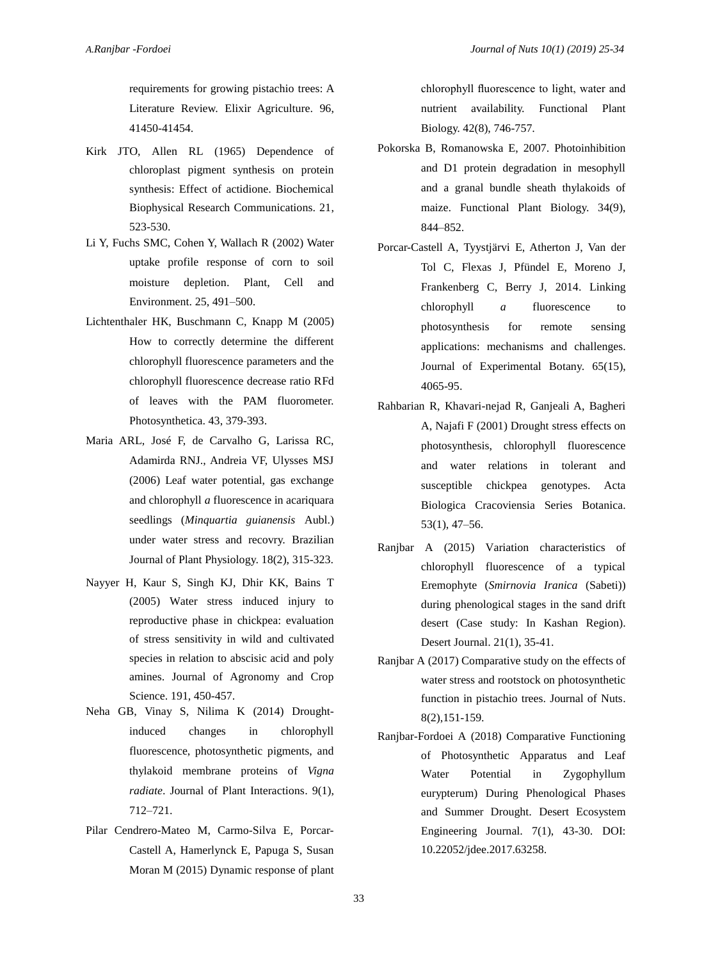requirements for growing pistachio trees: A Literature Review. Elixir Agriculture. 96, 41450-41454.

- Kirk JTO, Allen RL (1965) Dependence of chloroplast pigment synthesis on protein synthesis: Effect of actidione. Biochemical Biophysical Research Communications. 21, 523-530.
- Li Y, Fuchs SMC, Cohen Y, Wallach R (2002) Water uptake profile response of corn to soil moisture depletion. Plant, Cell and Environment. 25, 491–500.
- Lichtenthaler HK, Buschmann C, Knapp M (2005) How to correctly determine the different chlorophyll fluorescence parameters and the chlorophyll fluorescence decrease ratio RFd of leaves with the PAM fluorometer. Photosynthetica. 43, 379-393.
- Maria ARL, José F, de Carvalho G, Larissa RC, Adamirda RNJ., Andreia VF, Ulysses MSJ (2006) Leaf water potential, gas exchange and chlorophyll *a* fluorescence in acariquara seedlings (*Minquartia guianensis* Aubl.) under water stress and recovry. Brazilian Journal of Plant Physiology. 18(2), 315-323.
- Nayyer H, Kaur S, Singh KJ, Dhir KK, Bains T (2005) Water stress induced injury to reproductive phase in chickpea: evaluation of stress sensitivity in wild and cultivated species in relation to abscisic acid and poly amines. Journal of Agronomy and Crop Science. 191, 450-457.
- Neha GB, Vinay S, Nilima K (2014) Droughtinduced changes in chlorophyll fluorescence, photosynthetic pigments, and thylakoid membrane proteins of *Vigna radiate*. Journal of Plant Interactions. 9(1), 712–721.
- Pilar Cendrero-Mateo M, Carmo-Silva E, Porcar-Castell A, Hamerlynck E, Papuga S, Susan Moran M (2015) Dynamic response of plant

chlorophyll fluorescence to light, water and nutrient availability. Functional Plant Biology. 42(8), 746-757.

- Pokorska B, Romanowska E, 2007. Photoinhibition and D1 protein degradation in mesophyll and a granal bundle sheath thylakoids of maize. Functional Plant Biology. 34(9), 844–852.
- Porcar-Castell A, Tyystjärvi E, Atherton J, Van der Tol C, Flexas J, Pfündel E, Moreno J, Frankenberg C, Berry J, 2014. Linking chlorophyll *a* fluorescence to photosynthesis for remote sensing applications: mechanisms and challenges. Journal of Experimental Botany. 65(15), 4065-95.
- Rahbarian R, Khavari-nejad R, Ganjeali A, Bagheri A, Najafi F (2001) Drought stress effects on photosynthesis, chlorophyll fluorescence and water relations in tolerant and susceptible chickpea genotypes. Acta Biologica Cracoviensia Series Botanica. 53(1), 47–56.
- Ranjbar A (2015) Variation characteristics of chlorophyll fluorescence of a typical Eremophyte (*Smirnovia Iranica* (Sabeti)) during phenological stages in the sand drift desert (Case study: In Kashan Region). Desert Journal. 21(1), 35-41.
- Ranjbar A (2017) Comparative study on the effects of water stress and rootstock on photosynthetic function in pistachio trees. Journal of Nuts. 8(2),151-159.
- Ranjbar-Fordoei A (2018) Comparative Functioning of Photosynthetic Apparatus and Leaf Water Potential in Zygophyllum eurypterum) During Phenological Phases and Summer Drought. Desert Ecosystem Engineering Journal. 7(1), 43-30. DOI: 10.22052/jdee.2017.63258.